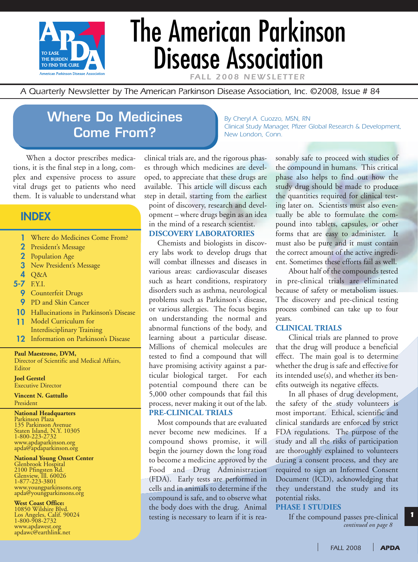

# The American Parkinson Disease Association

FALL 2008 NEWSLETTE

*By Cheryl A. Cuozzo, MSN, RN*

*A Quarterly Newsletter by The American Parkinson Disease Association, Inc. ©2008, Issue # 84*

# **Where Do Medicines Come From?**

When a doctor prescribes medications, it is the final step in a long, complex and expensive process to assure vital drugs get to patients who need them. It is valuable to understand what

### **INDEX**

- **1** Where do Medicines Come From?
- **2** President's Message
- **2** Population Age
- **3** New President's Message
- **4** Q&A
- **5-7** F.Y.I.
	- **9** Counterfeit Drugs
	- **9** PD and Skin Cancer
- **10** Hallucinations in Parkinson's Disease
- **11** Model Curriculum for Interdisciplinary Training
- **12** Information on Parkinson's Disease

**Paul Maestrone, DVM,**

Director of Scientific and Medical Affairs, Editor

**Joel Gerstel** Executive Director

**Vincent N. Gattullo** President

#### **National Headquarters**

Parkinson Plaza 135 Parkinson Avenue Staten Island, N.Y. 10305 1-800-223-2732 www.apdaparkinson.org apda@apdaparkinson.org

#### **National Young Onset Center**

Glenbrook Hospital 2100 Pfingsten Rd. Glenview, Ill. 60026 1-877-223-3801 www.youngparkinsons.org apda@youngparkinsons.org

#### **West Coast Office:**

10850 Wilshire Blvd. Los Angeles, Calif. 90024 1-800-908-2732 www.apdawest.org apdawc@earthlink.net

clinical trials are, and the rigorous phases through which medicines are developed, to appreciate that these drugs are available. This article will discuss each step in detail, starting from the earliest point of discovery, research and development – where drugs begin as an idea in the mind of a research scientist.

#### **DISCOVERY LABORATORIES**

Chemists and biologists in discovery labs work to develop drugs that will combat illnesses and diseases in various areas: cardiovascular diseases such as heart conditions, respiratory disorders such as asthma, neurological problems such as Parkinson's disease, or various allergies. The focus begins on understanding the normal and abnormal functions of the body, and learning about a particular disease. Millions of chemical molecules are tested to find a compound that will have promising activity against a particular biological target. For each potential compound there can be 5,000 other compounds that fail this process, never making it out of the lab. **PRE-CLINICAL TRIALS**

Most compounds that are evaluated never become new medicines. If a compound shows promise, it will begin the journey down the long road to become a medicine approved by the Food and Drug Administration (FDA). Early tests are performed in cells and in animals to determine if the compound is safe, and to observe what the body does with the drug. Animal testing is necessary to learn if it is rea-

*Clinical Study Manager, Pfizer Global Research & Development, New London, Conn.*

> sonably safe to proceed with studies of the compound in humans. This critical phase also helps to find out how the study drug should be made to produce the quantities required for clinical testing later on. Scientists must also eventually be able to formulate the compound into tablets, capsules, or other forms that are easy to administer. It must also be pure and it must contain the correct amount of the active ingredient. Sometimes these efforts fail as well.

> About half of the compounds tested in pre-clinical trials are eliminated because of safety or metabolism issues. The discovery and pre-clinical testing process combined can take up to four years.

#### **CLINICAL TRIALS**

Clinical trials are planned to prove that the drug will produce a beneficial effect. The main goal is to determine whether the drug is safe and effective for its intended use(s), and whether its benefits outweigh its negative effects.

In all phases of drug development, the safety of the study volunteers is most important. Ethical, scientific and clinical standards are enforced by strict FDA regulations. The purpose of the study and all the risks of participation are thoroughly explained to volunteers during a consent process, and they are required to sign an Informed Consent Document (ICD), acknowledging that they understand the study and its potential risks.

#### **PHASE I STUDIES**

*continued on page 8* If the compound passes pre-clinical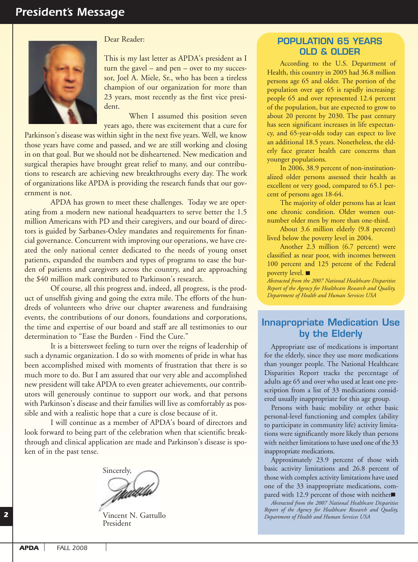

#### Dear Reader:

This is my last letter as APDA's president as I turn the gavel – and pen – over to my successor, Joel A. Miele, Sr., who has been a tireless champion of our organization for more than 23 years, most recently as the first vice president.

When I assumed this position seven years ago, there was excitement that a cure for

Parkinson's disease was within sight in the next five years. Well, we know those years have come and passed, and we are still working and closing in on that goal. But we should not be disheartened. New medication and surgical therapies have brought great relief to many, and our contributions to research are achieving new breakthroughs every day. The work of organizations like APDA is providing the research funds that our government is not.

APDA has grown to meet these challenges. Today we are operating from a modern new national headquarters to serve better the 1.5 million Americans with PD and their caregivers, and our board of directors is guided by Sarbanes-Oxley mandates and requirements for financial governance. Concurrent with improving our operations, we have created the only national center dedicated to the needs of young onset patients, expanded the numbers and types of programs to ease the burden of patients and caregivers across the country, and are approaching the \$40 million mark contributed to Parkinson's research.

Of course, all this progress and, indeed, all progress, is the product of unselfish giving and going the extra mile. The efforts of the hundreds of volunteers who drive our chapter awareness and fundraising events, the contributions of our donors, foundations and corporations, the time and expertise of our board and staff are all testimonies to our determination to "Ease the Burden - Find the Cure."

It is a bittersweet feeling to turn over the reigns of leadership of such a dynamic organization. I do so with moments of pride in what has been accomplished mixed with moments of frustration that there is so much more to do. But I am assured that our very able and accomplished new president will take APDA to even greater achievements, our contributors will generously continue to support our work, and that persons with Parkinson's disease and their families will live as comfortably as possible and with a realistic hope that a cure is close because of it.

I will continue as a member of APDA's board of directors and look forward to being part of the celebration when that scientific breakthrough and clinical application are made and Parkinson's disease is spoken of in the past tense.

Sincerely,

Vincent N. Gattullo President

#### **POPULATION 65 YEARS OLD & OLDER**

According to the U.S. Department of Health, this country in 2005 had 36.8 million persons age 65 and older. The portion of the population over age 65 is rapidly increasing: people 65 and over represented 12.4 percent of the population, but are expected to grow to about 20 percent by 2030. The past century has seen significant increases in life expectancy, and 65-year-olds today can expect to live an additional 18.5 years. Nonetheless, the elderly face greater health care concerns than younger populations.

In 2006, 38.9 percent of non-institutionalized older persons assessed their health as excellent or very good, compared to 65.1 percent of persons ages 18-64.

The majority of older persons has at least one chronic condition. Older women outnumber older men by more than one-third.

About 3.6 million elderly (9.8 percent) lived below the poverty level in 2004.

Another 2.3 million (6.7 percent) were classified as near poor, with incomes between 100 percent and 125 percent of the Federal poverty level.

*Abstracted from the 2007 National Healthcare Disparities Report of the Agency for Healthcare Research and Quality, Department of Health and Human Services USA*

#### **Innapropriate Medication Use by the Elderly**

Appropriate use of medications is important for the elderly, since they use more medications than younger people. The National Healthcare Disparities Report tracks the percentage of adults age 65 and over who used at least one prescription from a list of 33 medications considered usually inappropriate for this age group.

Persons with basic mobility or other basic personal-level functioning and complex (ability to participate in community life) activity limitations were significantly more likely than persons with neither limitations to have used one of the 33 inappropriate medications.

Approximately 23.9 percent of those with basic activity limitations and 26.8 percent of those with complex activity limitations have used one of the 33 inappropriate medications, compared with 12.9 percent of those with neither■

*Abstracted from the 2007 National Healthcare Disparities Report of the Agency for Healthcare Research and Quality, Department of Health and Human Services USA*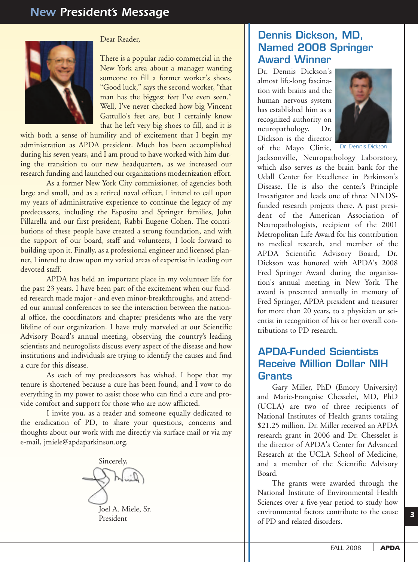

#### Dear Reader,

There is a popular radio commercial in the New York area about a manager wanting someone to fill a former worker's shoes. "Good luck," says the second worker, "that man has the biggest feet I've even seen." Well, I've never checked how big Vincent Gattullo's feet are, but I certainly know that he left very big shoes to fill, and it is

with both a sense of humility and of excitement that I begin my administration as APDA president. Much has been accomplished during his seven years, and I am proud to have worked with him during the transition to our new headquarters, as we increased our research funding and launched our organizations modernization effort.

As a former New York City commissioner, of agencies both large and small, and as a retired naval officer, I intend to call upon my years of administrative experience to continue the legacy of my predecessors, including the Esposito and Springer families, John Pillarella and our first president, Rabbi Eugene Cohen. The contributions of these people have created a strong foundation, and with the support of our board, staff and volunteers, I look forward to building upon it. Finally, as a professional engineer and licensed planner, I intend to draw upon my varied areas of expertise in leading our devoted staff.

APDA has held an important place in my volunteer life for the past 23 years. I have been part of the excitement when our funded research made major - and even minor-breakthroughs, and attended our annual conferences to see the interaction between the national office, the coordinators and chapter presidents who are the very lifeline of our organization. I have truly marveled at our Scientific Advisory Board's annual meeting, observing the country's leading scientists and neurogolists discuss every aspect of the disease and how institutions and individuals are trying to identify the causes and find a cure for this disease.

As each of my predecessors has wished, I hope that my tenure is shortened because a cure has been found, and I vow to do everything in my power to assist those who can find a cure and provide comfort and support for those who are now afflicted.

I invite you, as a reader and someone equally dedicated to the eradication of PD, to share your questions, concerns and thoughts about our work with me directly via surface mail or via my e-mail, jmiele@apdaparkinson.org.



President

#### **Dennis Dickson, MD, Named 2008 Springer Award Winner**

Dr. Dennis Dickson's almost life-long fascination with brains and the human nervous system has established him as a recognized authority on neuropathology. Dr. Dickson is the director of the Mayo Clinic,



*Dr. Dennis Dickson*

Jacksonville, Neuropathology Laboratory, which also serves as the brain bank for the Udall Center for Excellence in Parkinson's Disease. He is also the center's Principle Investigator and leads one of three NINDSfunded research projects there. A past president of the American Association of Neuropathologists, recipient of the 2001 Metropolitan Life Award for his contribution to medical research, and member of the APDA Scientific Advisory Board, Dr. Dickson was honored with APDA's 2008 Fred Springer Award during the organization's annual meeting in New York. The award is presented annually in memory of Fred Springer, APDA president and treasurer for more than 20 years, to a physician or scientist in recognition of his or her overall contributions to PD research.

#### **APDA-Funded Scientists Receive Million Dollar NIH Grants**

Gary Miller, PhD (Emory University) and Marie-Françoise Chesselet, MD, PhD (UCLA) are two of three recipients of National Institutes of Health grants totaling \$21.25 million. Dr. Miller received an APDA research grant in 2006 and Dr. Chesselet is the director of APDA's Center for Advanced Research at the UCLA School of Medicine, and a member of the Scientific Advisory Board.

The grants were awarded through the National Institute of Environmental Health Sciences over a five-year period to study how environmental factors contribute to the cause of PD and related disorders.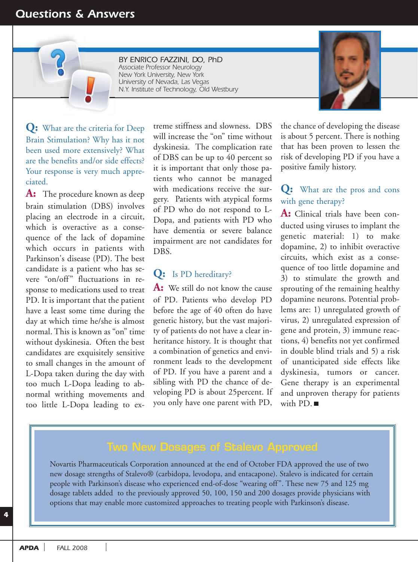#### *Questions & Answers*

*BY ENRICO FAZZINI, DO, PhD Associate Professor Neurology New York University, New York University of Nevada, Las Vegas N.Y. Institute of Technology, Old Westbury*



**Q:** What are the criteria for Deep Brain Stimulation? Why has it not been used more extensively? What are the benefits and/or side effects? Your response is very much appreciated.

**A:** The procedure known as deep brain stimulation (DBS) involves placing an electrode in a circuit, which is overactive as a consequence of the lack of dopamine which occurs in patients with Parkinson's disease (PD). The best candidate is a patient who has severe "on/off" fluctuations in response to medications used to treat PD. It is important that the patient have a least some time during the day at which time he/she is almost normal. This is known as "on" time without dyskinesia. Often the best candidates are exquisitely sensitive to small changes in the amount of L-Dopa taken during the day with too much L-Dopa leading to abnormal writhing movements and too little L-Dopa leading to extreme stiffness and slowness. DBS will increase the "on" time without dyskinesia. The complication rate of DBS can be up to 40 percent so it is important that only those patients who cannot be managed with medications receive the surgery. Patients with atypical forms of PD who do not respond to L-Dopa, and patients with PD who have dementia or severe balance impairment are not candidates for DBS.

#### **Q:** Is PD hereditary?

**A:** We still do not know the cause of PD. Patients who develop PD before the age of 40 often do have genetic history, but the vast majority of patients do not have a clear inheritance history. It is thought that a combination of genetics and environment leads to the development of PD. If you have a parent and a sibling with PD the chance of developing PD is about 25percent. If you only have one parent with PD,

the chance of developing the disease is about 5 percent. There is nothing that has been proven to lessen the risk of developing PD if you have a positive family history.

#### **Q:** What are the pros and cons with gene therapy?

**A:** Clinical trials have been conducted using viruses to implant the genetic material: 1) to make dopamine, 2) to inhibit overactive circuits, which exist as a consequence of too little dopamine and 3) to stimulate the growth and sprouting of the remaining healthy dopamine neurons. Potential problems are: 1) unregulated growth of virus, 2) unregulated expression of gene and protein, 3) immune reactions, 4) benefits not yet confirmed in double blind trials and 5) a risk of unanticipated side effects like dyskinesia, tumors or cancer. Gene therapy is an experimental and unproven therapy for patients with PD.

Novartis Pharmaceuticals Corporation announced at the end of October FDA approved the use of two new dosage strengths of Stalevo® (carbidopa, levodopa, and entacapone). Stalevo is indicated for certain people with Parkinson's disease who experienced end-of-dose "wearing off". These new 75 and 125 mg dosage tablets added to the previously approved 50, 100, 150 and 200 dosages provide physicians with options that may enable more customized approaches to treating people with Parkinson's disease.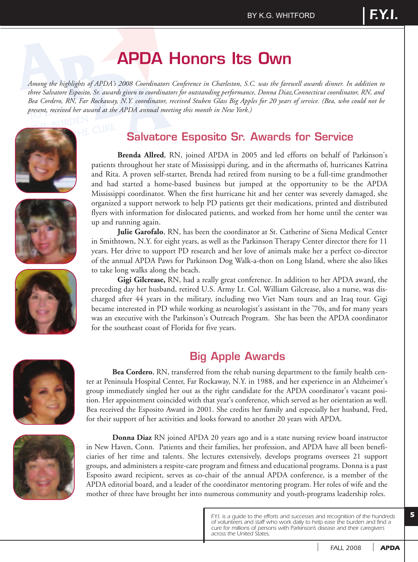# **APDA Honors Its Own**

*Among the highlights of APDA's 2008 Coordinators Conference in Charleston, S.C. was the farewell awards dinner. In addition to three Salvatore Esposito, Sr. awards given to coordinators for outstanding performance, Donna Diaz,Connecticut coordinator, RN, and Bea Cordero, RN, Far Rockaway, N.Y. coordinator, received Stuben Glass Big Apples for 20 years of service. (Bea, who could not be present, received her award at the APDA annual meeting this month in New York.)* 







### **Salvatore Esposito Sr. Awards for Service**

**Brenda Allred**, RN, joined APDA in 2005 and led efforts on behalf of Parkinson's patients throughout her state of Mississippi during, and in the aftermaths of, hurricanes Katrina and Rita. A proven self-starter, Brenda had retired from nursing to be a full-time grandmother and had started a home-based business but jumped at the opportunity to be the APDA Mississippi coordinator. When the first hurricane hit and her center was severely damaged, she organized a support network to help PD patients get their medications, printed and distributed flyers with information for dislocated patients, and worked from her home until the center was up and running again.

**Julie Garofalo**, RN, has been the coordinator at St. Catherine of Siena Medical Center in Smithtown, N.Y. for eight years, as well as the Parkinson Therapy Center director there for 11 years. Her drive to support PD research and her love of animals make her a perfect co-director of the annual APDA Paws for Parkinson Dog Walk-a-thon on Long Island, where she also likes to take long walks along the beach.

**Gigi Gilcrease,** RN, had a really great conference. In addition to her APDA award, the preceding day her husband, retired U.S. Army Lt. Col. William Gilcrease, also a nurse, was discharged after 44 years in the military, including two Viet Nam tours and an Iraq tour. Gigi became interested in PD while working as neurologist's assistant in the '70s, and for many years was an executive with the Parkinson's Outreach Program. She has been the APDA coordinator for the southeast coast of Florida for five years.

### **Big Apple Awards**

ter at Peninsula Hospital Center, Far Rockaway, N.Y. in 1988, and her experience in an Alzheimer's group immediately singled her out as the right candidate for the APDA coordinator's vacant position. Her appointment coincided with that year's conference, which served as her orientation as well. Bea received the Esposito Award in 2001. She credits her family and especially her husband, Fred,

**Bea Cordero**, RN, transferred from the rehab nursing department to the family health cen-



for their support of her activities and looks forward to another 20 years with APDA. **Donna Diaz** RN joined APDA 20 years ago and is a state nursing review board instructor in New Haven, Conn. Patients and their families, her profession, and APDA have all been beneficiaries of her time and talents. She lectures extensively, develops programs oversees 21 support groups, and administers a respite-care program and fitness and educational programs. Donna is a past Esposito award recipient, serves as co-chair of the annual APDA conference, is a member of the APDA editorial board, and a leader of the coordinator mentoring program. Her roles of wife and the

mother of three have brought her into numerous community and youth-programs leadership roles.

*F.Y.I. is a guide to the efforts and successes and recognition of the hundreds of volunteers and staff who work daily to help ease the burden and find a cure for millions of persons with Parkinson's disease and their caregivers across the United States.*

*FALL 2008 APDA*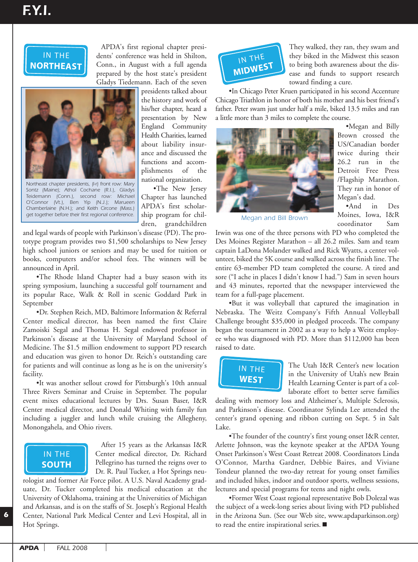

APDA's first regional chapter presidents' conference was held in Shilton, Conn., in August with a full agenda prepared by the host state's president Gladys Tiedemann. Each of the seven



IN THE *Sontz (Maine); Athol Cochane (R.I.), Gladys* **WEST** *Teidemann (Conn.), second row: Michael Northeast chapter presidents, (l-r) front row: Mary O'Connor (Vt.), Ben Yip (N.J.); Marueen Chamberlaine (N.H.); and Keith Circone (Mass.)* get together before their first regional conference. **Ship program for chil-** Megan and Bill Brown

presidents talked about the history and work of his/her chapter, heard a presentation by New England Community Health Charities, learned about liability insurance and discussed the functions and accomplishments of the national organization.

•The New Jersey Chapter has launched APDA's first scholarship program for children, grandchildren

and legal wards of people with Parkinson's disease (PD). The prototype program provides two \$1,500 scholarships to New Jersey high school juniors or seniors and may be used for tuition or books, computers and/or school fees. The winners will be announced in April. or (vt.),<br>erlaine (N.H<br>ether before<br>al wards c<br>program<br>hool jun<br>compute<br>ced in At ether before t<br>
gal wards of<br>
program µ<br>
chool junii<br>
compute:<br>
coed in Ap<br>
The Rhode

•The Rhode Island Chapter had a busy season with its spring symposium, launching a successful golf tournament and its popular Race, Walk & Roll in scenic Goddard Park in September

•Dr. Stephen Reich, MD, Baltimore Information & Referral Ur. Stephen Keich, MD, Baltimore Information & Keferral<br>Center medical director, has been named the first Claire Lenter medical director, has been named the first Claire<br>Zamoiski Segal and Thomas H. Segal endowed professor in Parkinson's disease at the University of Maryland School of Medicine. The \$1.5 million endowment to support PD research and education was given to honor Dr. Reich's outstanding care for patients and will continue as long as he is on the university's facility.

•It was another sellout crowd for Pittsburgh's 10th annual Three Rivers Seminar and Cruise in September. The popular Three Rivers Seminar and Cruise in September. The popular<br>event mixes educational lectures by Drs. Susan Baser, I&R Center medical director, and Donald Whiting with family fun including a juggler and lunch while cruising the Allegheny, Monongahela, and Ohio rivers. ne. The \$1<br>
ucation was<br>
ents and v<br>
was anot<br>
Rivers Ser<br>
mixes edu<br>
medical c



After 15 years as the Arkansas I&R Center medical director, Dr. Richard Pellegrino has turned the reigns over to Dr. R. Paul Tucker, a Hot Springs neu-

rologist and former Air Force pilot. A U.S. Naval Academy graduate, Dr. Tucker completed his medical education at the University of Oklahoma, training at the Universities of Michigan and Arkansas, and is on the staffs of St. Joseph's Regional Health Center, National Park Medical Center and Levi Hospital, all in Hot Springs.



They walked, they ran, they swam and they biked in the Midwest this season to bring both awareness about the disease and funds to support research toward finding a cure.

•In Chicago Peter Kruen participated in his second Accenture Chicago Triathlon in honor of both his mother and his best friend's father. Peter swam just under half a mile, biked 13.5 miles and ran a little more than 3 miles to complete the course. **SOUTHER**<br> **SOCIET SIMPLE INTERNATION**<br> **SOCIET SIMPLE INTERNATIONAL PROPERTIES** 



•Megan and Billy Brown crossed the US/Canadian border twice during their 26.2 run in the Detroit Free Press /Flagship Marathon. They ran in honor of Megan's dad.

•And in Des Moines, Iowa, I&R coordinator Sam

Irwin was one of the three persons with PD who completed the Des Moines Register Marathon - all 26.2 miles. Sam and team captain LaDona Molander walked and Rick Wyatts, a center volunteer, biked the 5K course and walked across the finish line. The entire 63-member PD team completed the course. A tired and sore ("I ache in places I didn't know I had.") Sam in seven hours and 43 minutes, reported that the newspaper interviewed the team for a full-page placement.

•But it was volleyball that captured the imagination in Nebraska. The Weitz Company's Fifth Annual Volleyball Challenge brought \$35,000 in pledged proceeds. The company<br>Challenge brought \$35,000 in pledged proceeds. The company began the tournament in 2002 as a way to help a Weitz employee who was diagnosed with PD. More than \$112,000 has been raised to date.



The Utah I&R Center's new location in the University of Utah's new Brain Health Learning Center is part of a collaborate effort to better serve families

dealing with memory loss and Alzheimer's, Multiple Sclerosis, and Parkinson's disease. Coordinator Sylinda Lee attended the center's grand opening and ribbon cutting on Sept. 5 in Salt Lake.

.<br>•The founder of the country's first young onset I&R center, Arlette Johnson, was the keynote speaker at the APDA Young Onset Parkinson's West Coast Retreat 2008. Coordinators Linda O'Connor, Martha Gardner, Debbie Baires, and Viviane Tondeur planned the two-day retreat for young onset families and included hikes, indoor and outdoor sports, wellness sessions, lectures and special programs for teens and night owls.

•Former West Coast regional representative Bob Dolezal was the subject of a week-long series about living with PD published in the Arizona Sun. (See our Web site, www.apdaparkinson.org) to read the entire inspirational series.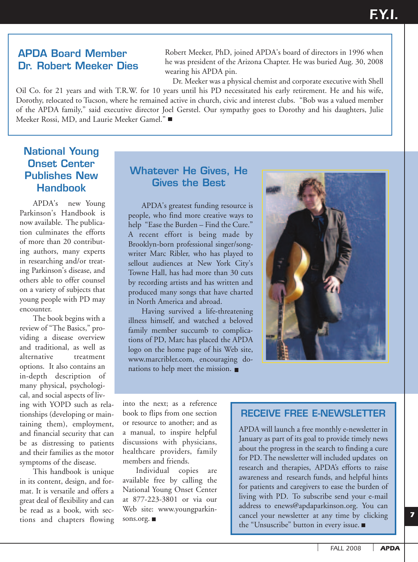#### **APDA Board Member Dr. Robert Meeker Dies**

Robert Meeker, PhD, joined APDA's board of directors in 1996 when he was president of the Arizona Chapter. He was buried Aug. 30, 2008 wearing his APDA pin.

Dr. Meeker was a physical chemist and corporate executive with Shell Oil Co. for 21 years and with T.R.W. for 10 years until his PD necessitated his early retirement. He and his wife, Dorothy, relocated to Tucson, where he remained active in church, civic and interest clubs. "Bob was a valued member of the APDA family," said executive director Joel Gerstel. Our sympathy goes to Dorothy and his daughters, Julie Meeker Rossi, MD, and Laurie Meeker Gamel." ■

#### **National Young Onset Center Publishes New Handbook**

APDA's new Young Parkinson's Handbook is now available. The publication culminates the efforts of more than 20 contributing authors, many experts in researching and/or treating Parkinson's disease, and others able to offer counsel on a variety of subjects that young people with PD may encounter.

The book begins with a review of "The Basics," providing a disease overview and traditional, as well as alternative treatment options. It also contains an in-depth description of many physical, psychological, and social aspects of living with YOPD such as relationships (developing or maintaining them), employment, and financial security that can be as distressing to patients and their families as the motor symptoms of the disease.

This handbook is unique in its content, design, and format. It is versatile and offers a great deal of flexibility and can be read as a book, with sections and chapters flowing

#### **Whatever He Gives, He Gives the Best**

APDA's greatest funding resource is people, who find more creative ways to help "Ease the Burden – Find the Cure." A recent effort is being made by Brooklyn-born professional singer/songwriter Marc Ribler, who has played to sellout audiences at New York City's Towne Hall, has had more than 30 cuts by recording artists and has written and produced many songs that have charted in North America and abroad.

Having survived a life-threatening illness himself, and watched a beloved family member succumb to complications of PD, Marc has placed the APDA logo on the home page of his Web site, www.marcribler.com, encouraging donations to help meet the mission.

into the next; as a reference book to flips from one section or resource to another; and as a manual, to inspire helpful discussions with physicians, healthcare providers, family members and friends.

Individual copies are available free by calling the National Young Onset Center at 877-223-3801 or via our Web site: www.youngparkinsons.org.

#### **RECEIVE FREE E-NEWSLETTER**

APDA will launch a free monthly e-newsletter in January as part of its goal to provide timely news about the progress in the search to finding a cure for PD. The newsletter will included updates on research and therapies, APDA's efforts to raise awareness and research funds, and helpful hints for patients and caregivers to ease the burden of living with PD. To subscribe send your e-mail address to enews@apdaparkinson.org. You can cancel your newsletter at any time by clicking the "Unsuscribe" button in every issue.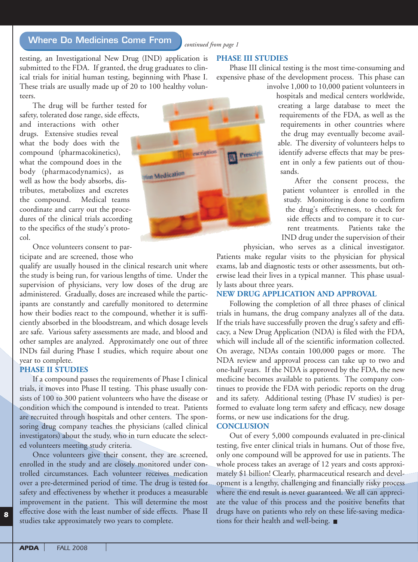#### **Where Do Medicines Come From** *continued from page 1*

testing, an Investigational New Drug (IND) application is submitted to the FDA. If granted, the drug graduates to clinical trials for initial human testing, beginning with Phase I. These trials are usually made up of 20 to 100 healthy volunteers.

The drug will be further tested for safety, tolerated dose range, side effects, and interactions with other drugs. Extensive studies reveal what the body does with the compound (pharmacokinetics), what the compound does in the body (pharmacodynamics), as well as how the body absorbs, distributes, metabolizes and excretes the compound. Medical teams coordinate and carry out the procedures of the clinical trials according to the specifics of the study's protocol.

Once volunteers consent to participate and are screened, those who

qualify are usually housed in the clinical research unit where the study is being run, for various lengths of time. Under the supervision of physicians, very low doses of the drug are administered. Gradually, doses are increased while the participants are constantly and carefully monitored to determine how their bodies react to the compound, whether it is sufficiently absorbed in the bloodstream, and which dosage levels are safe. Various safety assessments are made, and blood and other samples are analyzed. Approximately one out of three INDs fail during Phase I studies, which require about one year to complete.

#### **PHASE II STUDIES**

If a compound passes the requirements of Phase I clinical trials, it moves into Phase II testing. This phase usually consists of 100 to 300 patient volunteers who have the disease or condition which the compound is intended to treat. Patients are recruited through hospitals and other centers. The sponsoring drug company teaches the physicians (called clinical investigators) about the study, who in turn educate the selected volunteers meeting study criteria.

Once volunteers give their consent, they are screened, enrolled in the study and are closely monitored under controlled circumstances. Each volunteer receives medication over a pre-determined period of time. The drug is tested for safety and effectiveness by whether it produces a measurable improvement in the patient. This will determine the most effective dose with the least number of side effects. Phase II studies take approximately two years to complete.



**PHASE III STUDIES**

Phase III clinical testing is the most time-consuming and expensive phase of the development process. This phase can involve 1,000 to 10,000 patient volunteers in

> hospitals and medical centers worldwide, creating a large database to meet the requirements of the FDA, as well as the requirements in other countries where the drug may eventually become available. The diversity of volunteers helps to identify adverse effects that may be present in only a few patients out of thousands.

After the consent process, the patient volunteer is enrolled in the study. Monitoring is done to confirm the drug's effectiveness, to check for side effects and to compare it to current treatments. Patients take the IND drug under the supervision of their

physician, who serves as a clinical investigator. Patients make regular visits to the physician for physical exams, lab and diagnostic tests or other assessments, but otherwise lead their lives in a typical manner. This phase usually lasts about three years.

#### **NEW DRUG APPLICATION AND APPROVAL**

Following the completion of all three phases of clinical trials in humans, the drug company analyzes all of the data. If the trials have successfully proven the drug's safety and efficacy, a New Drug Application (NDA) is filed with the FDA, which will include all of the scientific information collected. On average, NDAs contain 100,000 pages or more. The NDA review and approval process can take up to two and one-half years. If the NDA is approved by the FDA, the new medicine becomes available to patients. The company continues to provide the FDA with periodic reports on the drug and its safety. Additional testing (Phase IV studies) is performed to evaluate long term safety and efficacy, new dosage forms, or new use indications for the drug.

#### **CONCLUSION**

Out of every 5,000 compounds evaluated in pre-clinical testing, five enter clinical trials in humans. Out of those five, only one compound will be approved for use in patients. The whole process takes an average of 12 years and costs approximately \$1 billion! Clearly, pharmaceutical research and development is a lengthy, challenging and financially risky process where the end result is never guaranteed. We all can appreciate the value of this process and the positive benefits that drugs have on patients who rely on these life-saving medications for their health and well-being.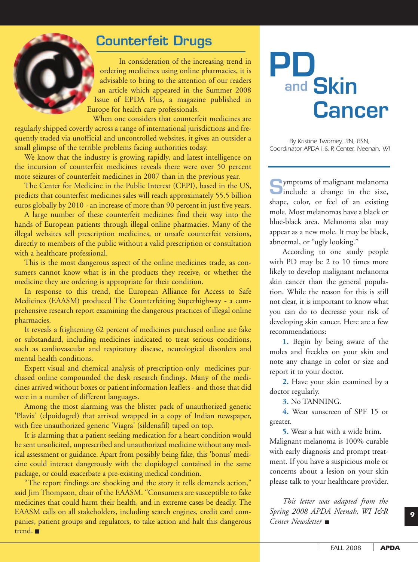## **Counterfeit Drugs**

In consideration of the increasing trend in ordering medicines using online pharmacies, it is advisable to bring to the attention of our readers an article which appeared in the Summer 2008 Issue of EPDA Plus, a magazine published in Europe for health care professionals.

When one considers that counterfeit medicines are regularly shipped covertly across a range of international jurisdictions and frequently traded via unofficial and uncontrolled websites, it gives an outsider a small glimpse of the terrible problems facing authorities today.

We know that the industry is growing rapidly, and latest intelligence on the incursion of counterfeit medicines reveals there were over 50 percent more seizures of counterfeit medicines in 2007 than in the previous year.

The Center for Medicine in the Public Interest (CEPI), based in the US, predicts that counterfeit medicines sales will reach approximately 55.5 billion euros globally by 2010 - an increase of more than 90 percent in just five years.

A large number of these counterfeit medicines find their way into the hands of European patients through illegal online pharmacies. Many of the illegal websites sell prescription medicines, or unsafe counterfeit versions, directly to members of the public without a valid prescription or consultation with a healthcare professional.

This is the most dangerous aspect of the online medicines trade, as consumers cannot know what is in the products they receive, or whether the medicine they are ordering is appropriate for their condition.

In response to this trend, the European Alliance for Access to Safe Medicines (EAASM) produced The Counterfeiting Superhighway - a comprehensive research report examining the dangerous practices of illegal online pharmacies.

It reveals a frightening 62 percent of medicines purchased online are fake or substandard, including medicines indicated to treat serious conditions, such as cardiovascular and respiratory disease, neurological disorders and mental health conditions.

Expert visual and chemical analysis of prescription-only medicines purchased online compounded the desk research findings. Many of the medicines arrived without boxes or patient information leaflets - and those that did were in a number of different languages.

Among the most alarming was the blister pack of unauthorized generic 'Plavix' (clpoidogrel) that arrived wrapped in a copy of Indian newspaper, with free unauthorized generic 'Viagra' (sildenafil) taped on top.

It is alarming that a patient seeking medication for a heart condition would be sent unsolicited, unprescribed and unauthorized medicine without any medical assessment or guidance. Apart from possibly being fake, this 'bonus' medicine could interact dangerously with the clopidogrel contained in the same package, or could exacerbate a pre-existing medical condition.

"The report findings are shocking and the story it tells demands action," said Jim Thompson, chair of the EAASM. "Consumers are susceptible to fake medicines that could harm their health, and in extreme cases be deadly. The EAASM calls on all stakeholders, including search engines, credit card companies, patient groups and regulators, to take action and halt this dangerous trend.

# **and PD Skin Cancer**

*By Kristine Twomey, RN, BSN, Coordinator APDA I & R Center, Neenah, WI*

**S**ymptoms of malignant melanoma<br>include a change in the size, shape, color, or feel of an existing mole. Most melanomas have a black or blue-black area. Melanoma also may appear as a new mole. It may be black, abnormal, or "ugly looking."

According to one study people with PD may be 2 to 10 times more likely to develop malignant melanoma skin cancer than the general population. While the reason for this is still not clear, it is important to know what you can do to decrease your risk of developing skin cancer. Here are a few recommendations:

**1.** Begin by being aware of the moles and freckles on your skin and note any change in color or size and report it to your doctor.

**2.** Have your skin examined by a doctor regularly.

**3.** No TANNING.

**4.** Wear sunscreen of SPF 15 or greater.

**5.** Wear a hat with a wide brim. Malignant melanoma is 100% curable with early diagnosis and prompt treatment. If you have a suspicious mole or concerns about a lesion on your skin please talk to your healthcare provider.

*This letter was adapted from the Spring 2008 APDA Neenah, WI I&R Center Newsletter*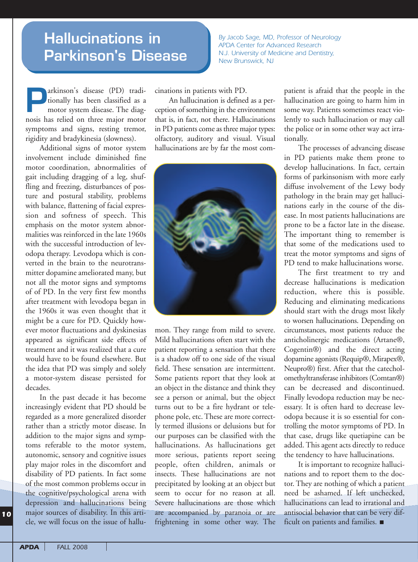# **Hallucinations in Parkinson's Disease**

*By Jacob Sage, MD, Professor of Neurology APDA Center for Advanced Research N.J. University of Medicine and Dentistry, New Brunswick, NJ*

**Parkinson's disease** (PD) tradi-<br>tionally has been classified as a<br>motor system disease. The diag-<br>nosis has relied on three major motor tionally has been classified as a motor system disease. The diagnosis has relied on three major motor symptoms and signs, resting tremor, rigidity and bradykinesia (slowness).

Additional signs of motor system involvement include diminished fine motor coordination, abnormalities of gait including dragging of a leg, shuffling and freezing, disturbances of posture and postural stability, problems with balance, flattening of facial expression and softness of speech. This emphasis on the motor system abnormalities was reinforced in the late 1960s with the successful introduction of levodopa therapy. Levodopa which is converted in the brain to the neurotransmitter dopamine ameliorated many, but not all the motor signs and symptoms of of PD. In the very first few months after treatment with levodopa began in the 1960s it was even thought that it might be a cure for PD. Quickly however motor fluctuations and dyskinesias appeared as significant side effects of treatment and it was realized that a cure would have to be found elsewhere. But the idea that PD was simply and solely a motor-system disease persisted for decades.

In the past decade it has become increasingly evident that PD should be regarded as a more generalized disorder rather than a strictly motor disease. In addition to the major signs and symptoms referable to the motor system, autonomic, sensory and cognitive issues play major roles in the discomfort and disability of PD patients. In fact some of the most common problems occur in the cognitive/psychological arena with depression and hallucinations being major sources of disability. In this article, we will focus on the issue of hallucinations in patients with PD.

An hallucination is defined as a perception of something in the environment that is, in fact, not there. Hallucinations in PD patients come as three major types: olfactory, auditory and visual. Visual hallucinations are by far the most com-



mon. They range from mild to severe. Mild hallucinations often start with the patient reporting a sensation that there is a shadow off to one side of the visual field. These sensation are intermittent. Some patients report that they look at an object in the distance and think they see a person or animal, but the object turns out to be a fire hydrant or telephone pole, etc. These are more correctly termed illusions or delusions but for our purposes can be classified with the hallucinations. As hallucinations get more serious, patients report seeing people, often children, animals or insects. These hallucinations are not precipitated by looking at an object but seem to occur for no reason at all. Severe hallucinations are those which are accompanied by paranoia or are frightening in some other way. The

patient is afraid that the people in the hallucination are going to harm him in some way. Patients sometimes react violently to such hallucination or may call the police or in some other way act irrationally.

The processes of advancing disease in PD patients make them prone to develop hallucinations. In fact, certain forms of parkinsonism with more early diffuse involvement of the Lewy body pathology in the brain may get hallucinations early in the course of the disease. In most patients hallucinations are prone to be a factor late in the disease. The important thing to remember is that some of the medications used to treat the motor symptoms and signs of PD tend to make hallucinations worse.

The first treatment to try and decrease hallucinations is medication reduction, where this is possible. Reducing and eliminating medications should start with the drugs most likely to worsen hallucinations. Depending on circumstances, most patients reduce the anticholinergic medications (Artane®, Cogentin®) and the direct acting dopamine agonists (Requip®, Mirapex®, Neupro®) first. After that the catecholomethyltransferase inhibitors (Comtan®) can be decreased and discontinued. Finally levodopa reduction may be necessary. It is often hard to decrease levodopa because it is so essential for controlling the motor symptoms of PD. In that case, drugs like quetiapine can be added. This agent acts directly to reduce the tendency to have hallucinations.

It is important to recognize hallucinations and to report them to the doctor. They are nothing of which a patient need be ashamed. If left unchecked, hallucinations can lead to irrational and antisocial behavior that can be very difficult on patients and families.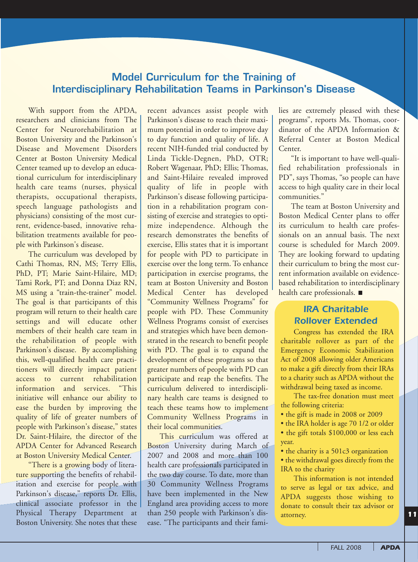#### **Model Curriculum for the Training of Interdisciplinary Rehabilitation Teams in Parkinson's Disease**

With support from the APDA, researchers and clinicians from The Center for Neurorehabilitation at Boston University and the Parkinson's Disease and Movement Disorders Center at Boston University Medical Center teamed up to develop an educational curriculum for interdisciplinary health care teams (nurses, physical therapists, occupational therapists, speech language pathologists and physicians) consisting of the most current, evidence-based, innovative rehabilitation treatments available for people with Parkinson's disease.

The curriculum was developed by Cathi Thomas, RN, MS; Terry Ellis, PhD, PT; Marie Saint-Hilaire, MD; Tami Rork, PT; and Donna Diaz RN, MS using a "train-the-trainer" model. The goal is that participants of this program will return to their health care settings and will educate other members of their health care team in the rehabilitation of people with Parkinson's disease. By accomplishing this, well-qualified health care practitioners will directly impact patient access to current rehabilitation information and services. "This initiative will enhance our ability to ease the burden by improving the quality of life of greater numbers of people with Parkinson's disease," states Dr. Saint-Hilaire, the director of the APDA Center for Advanced Research at Boston University Medical Center.

"There is a growing body of literature supporting the benefits of rehabilitation and exercise for people with Parkinson's disease," reports Dr. Ellis, clinical associate professor in the Physical Therapy Department at Boston University. She notes that these

recent advances assist people with Parkinson's disease to reach their maximum potential in order to improve day to day function and quality of life. A recent NIH-funded trial conducted by Linda Tickle-Degnen, PhD, OTR; Robert Wagenaar, PhD; Ellis; Thomas, and Saint-Hilaire revealed improved quality of life in people with Parkinson's disease following participation in a rehabilitation program consisting of exercise and strategies to optimize independence. Although the research demonstrates the benefits of exercise, Ellis states that it is important for people with PD to participate in exercise over the long term. To enhance participation in exercise programs, the team at Boston University and Boston Medical Center has developed "Community Wellness Programs" for people with PD. These Community Wellness Programs consist of exercises and strategies which have been demonstrated in the research to benefit people with PD. The goal is to expand the development of these programs so that greater numbers of people with PD can participate and reap the benefits. The curriculum delivered to interdisciplinary health care teams is designed to teach these teams how to implement Community Wellness Programs in their local communities.

This curriculum was offered at Boston University during March of 2007 and 2008 and more than 100 health care professionals participated in the two day course. To date, more than 30 Community Wellness Programs have been implemented in the New England area providing access to more than 250 people with Parkinson's disease. "The participants and their fami-

lies are extremely pleased with these programs", reports Ms. Thomas, coordinator of the APDA Information & Referral Center at Boston Medical Center.

"It is important to have well-qualified rehabilitation professionals in PD", says Thomas, "so people can have access to high quality care in their local communities.'

The team at Boston University and Boston Medical Center plans to offer its curriculum to health care professionals on an annual basis. The next course is scheduled for March 2009. They are looking forward to updating their curriculum to bring the most current information available on evidencebased rehabilitation to interdisciplinary health care professionals.

#### *IRA Charitable Rollover Extended*

Congress has extended the IRA charitable rollover as part of the Emergency Economic Stabilization Act of 2008 allowing older Americans to make a gift directly from their IRAs to a charity such as APDA without the withdrawal being taxed as income.

The tax-free donation must meet the following criteria:

- the gift is made in 2008 or 2009
- the IRA holder is age 70 1/2 or older
- the gift totals \$100,000 or less each year.
- the charity is a 501c3 organization

• the withdrawal goes directly from the IRA to the charity

This information is not intended to serve as legal or tax advice, and APDA suggests those wishing to donate to consult their tax advisor or attorney.